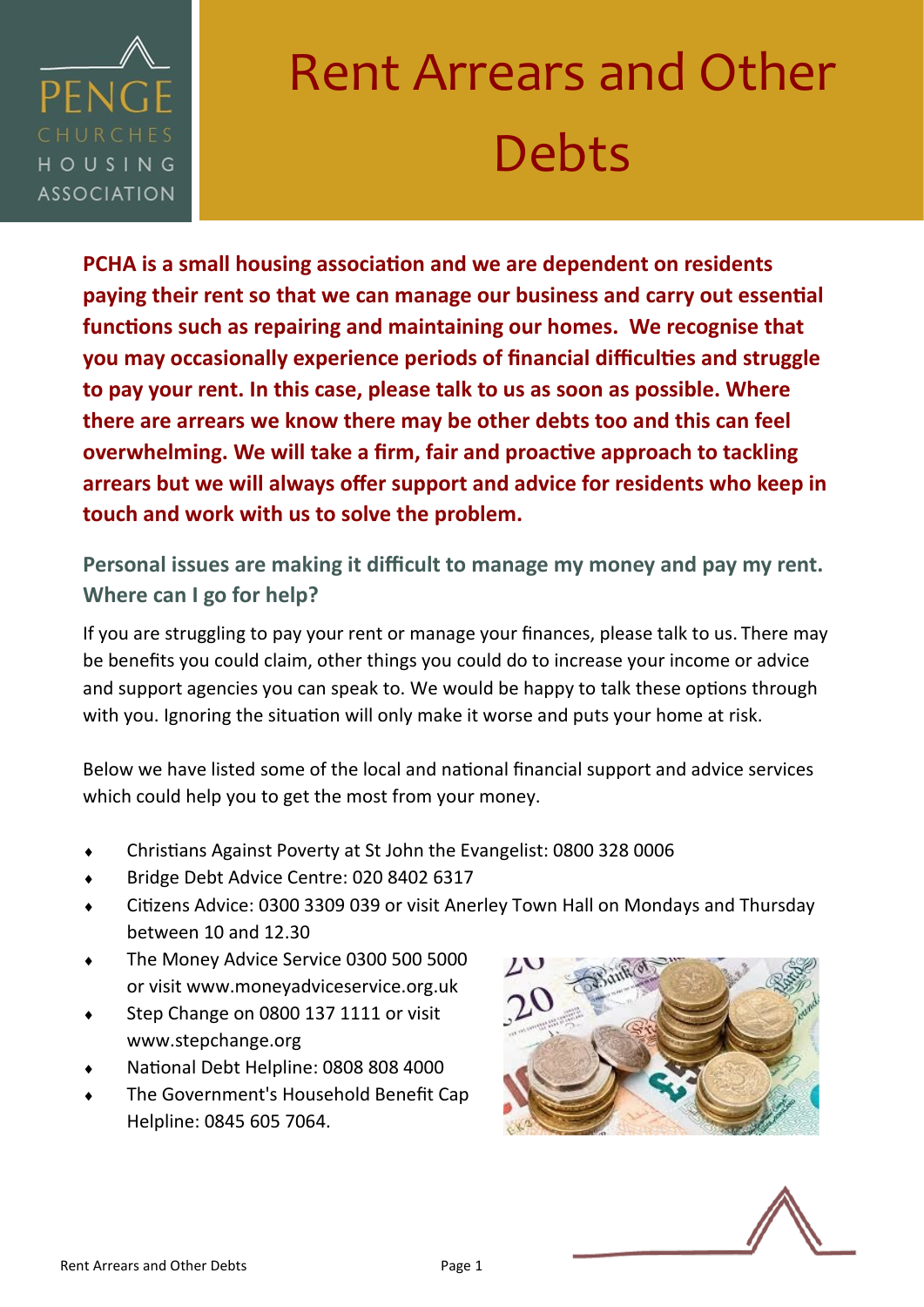

# Rent Arrears and Other Debts

**PCHA is a small housing association and we are dependent on residents paying their rent so that we can manage our business and carry out essential functions such as repairing and maintaining our homes. We recognise that you may occasionally experience periods of financial difficulties and struggle to pay your rent. In this case, please talk to us as soon as possible. Where there are arrears we know there may be other debts too and this can feel overwhelming. We will take a firm, fair and proactive approach to tackling arrears but we will always offer support and advice for residents who keep in touch and work with us to solve the problem.**

**Personal issues are making it difficult to manage my money and pay my rent. Where can I go for help?** 

If you are struggling to pay your rent or manage your finances, please talk to us. There may be benefits you could claim, other things you could do to increase your income or advice and support agencies you can speak to. We would be happy to talk these options through with you. Ignoring the situation will only make it worse and puts your home at risk.

Below we have listed some of the local and national financial support and advice services which could help you to get the most from your money.

- Christians Against Poverty at St John the Evangelist: 0800 328 0006
- Bridge Debt Advice Centre: 020 8402 6317
- Citizens Advice: 0300 3309 039 or visit Anerley Town Hall on Mondays and Thursday between 10 and 12.30
- The Money Advice Service 0300 500 5000 or visit www.moneyadviceservice.org.uk
- Step Change on 0800 137 1111 or visit www.stepchange.org
- National Debt Helpline: 0808 808 4000
- The Government's Household Benefit Cap Helpline: 0845 605 7064.